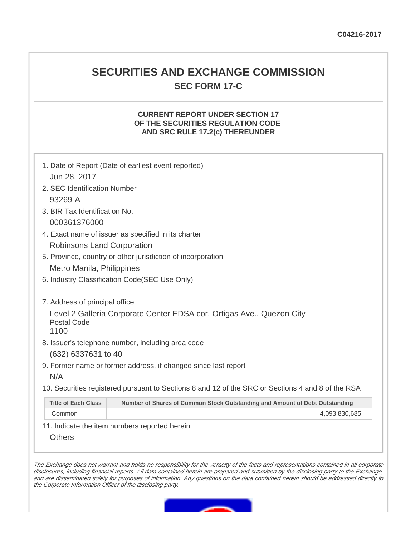# **SECURITIES AND EXCHANGE COMMISSION SEC FORM 17-C**

# **CURRENT REPORT UNDER SECTION 17 OF THE SECURITIES REGULATION CODE AND SRC RULE 17.2(c) THEREUNDER**

|                                                     | 1. Date of Report (Date of earliest event reported)                                               |  |  |
|-----------------------------------------------------|---------------------------------------------------------------------------------------------------|--|--|
| Jun 28, 2017                                        |                                                                                                   |  |  |
| 2. SEC Identification Number                        |                                                                                                   |  |  |
| 93269-A                                             |                                                                                                   |  |  |
| 3. BIR Tax Identification No.                       |                                                                                                   |  |  |
| 000361376000                                        |                                                                                                   |  |  |
| 4. Exact name of issuer as specified in its charter |                                                                                                   |  |  |
| Robinsons Land Corporation                          |                                                                                                   |  |  |
|                                                     | 5. Province, country or other jurisdiction of incorporation                                       |  |  |
| Metro Manila, Philippines                           |                                                                                                   |  |  |
|                                                     | 6. Industry Classification Code(SEC Use Only)                                                     |  |  |
|                                                     |                                                                                                   |  |  |
| 7. Address of principal office                      |                                                                                                   |  |  |
| <b>Postal Code</b>                                  | Level 2 Galleria Corporate Center EDSA cor. Ortigas Ave., Quezon City                             |  |  |
| 1100                                                |                                                                                                   |  |  |
|                                                     | 8. Issuer's telephone number, including area code                                                 |  |  |
| (632) 6337631 to 40                                 |                                                                                                   |  |  |
|                                                     | 9. Former name or former address, if changed since last report                                    |  |  |
| N/A                                                 |                                                                                                   |  |  |
|                                                     | 10. Securities registered pursuant to Sections 8 and 12 of the SRC or Sections 4 and 8 of the RSA |  |  |
| <b>Title of Each Class</b>                          | Number of Shares of Common Stock Outstanding and Amount of Debt Outstanding                       |  |  |
| Common                                              | 4,093,830,685                                                                                     |  |  |

11. Indicate the item numbers reported herein

**Others** 

The Exchange does not warrant and holds no responsibility for the veracity of the facts and representations contained in all corporate disclosures, including financial reports. All data contained herein are prepared and submitted by the disclosing party to the Exchange, and are disseminated solely for purposes of information. Any questions on the data contained herein should be addressed directly to the Corporate Information Officer of the disclosing party.

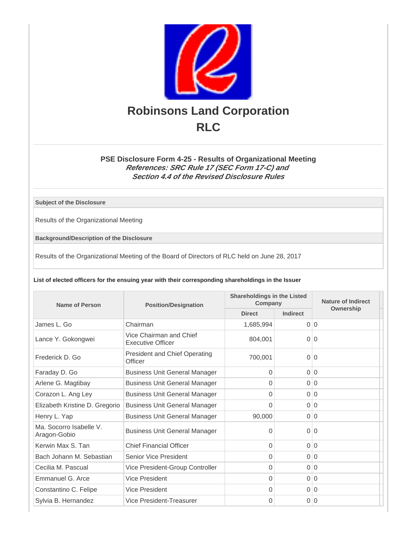

# **PSE Disclosure Form 4-25 - Results of Organizational Meeting References: SRC Rule 17 (SEC Form 17-C) and Section 4.4 of the Revised Disclosure Rules**

**Subject of the Disclosure**

Results of the Organizational Meeting

**Background/Description of the Disclosure**

Results of the Organizational Meeting of the Board of Directors of RLC held on June 28, 2017

#### **List of elected officers for the ensuing year with their corresponding shareholdings in the Issuer**

| Name of Person                          | <b>Position/Designation</b>                         | <b>Shareholdings in the Listed</b><br>Company |                 | Nature of Indirect |
|-----------------------------------------|-----------------------------------------------------|-----------------------------------------------|-----------------|--------------------|
|                                         |                                                     | <b>Direct</b>                                 | <b>Indirect</b> | Ownership          |
| James L. Go                             | Chairman                                            | 1,685,994                                     |                 | 0 0                |
| Lance Y. Gokongwei                      | Vice Chairman and Chief<br><b>Executive Officer</b> | 804.001                                       | $\Omega$        | $\Omega$           |
| Frederick D. Go                         | <b>President and Chief Operating</b><br>Officer     | 700,001                                       | $\overline{0}$  | $\overline{0}$     |
| Faraday D. Go                           | <b>Business Unit General Manager</b>                | $\Omega$                                      | $\Omega$        | $\overline{0}$     |
| Arlene G. Magtibay                      | <b>Business Unit General Manager</b>                | $\Omega$                                      | $\Omega$        | $\overline{0}$     |
| Corazon L. Ang Ley                      | <b>Business Unit General Manager</b>                | 0                                             |                 | 0 0                |
| Elizabeth Kristine D. Gregorio          | <b>Business Unit General Manager</b>                | 0                                             |                 | 0 0                |
| Henry L. Yap                            | <b>Business Unit General Manager</b>                | 90,000                                        | $\overline{0}$  | $\mathbf 0$        |
| Ma. Socorro Isabelle V.<br>Aragon-Gobio | <b>Business Unit General Manager</b>                | 0                                             | $\overline{0}$  | $\Omega$           |
| Kerwin Max S. Tan                       | <b>Chief Financial Officer</b>                      | $\Omega$                                      |                 | 0 0                |
| Bach Johann M. Sebastian                | Senior Vice President                               | $\Omega$                                      | $\Omega$        | $\Omega$           |
| Cecilia M. Pascual                      | Vice President-Group Controller                     | $\Omega$                                      |                 | 0 0                |
| Emmanuel G. Arce                        | Vice President                                      | $\Omega$                                      |                 | 0 0                |
| Constantino C. Felipe                   | Vice President                                      | $\Omega$                                      |                 | 0 0                |
| Sylvia B. Hernandez                     | Vice President-Treasurer                            | $\Omega$                                      | $\overline{0}$  | $\overline{0}$     |